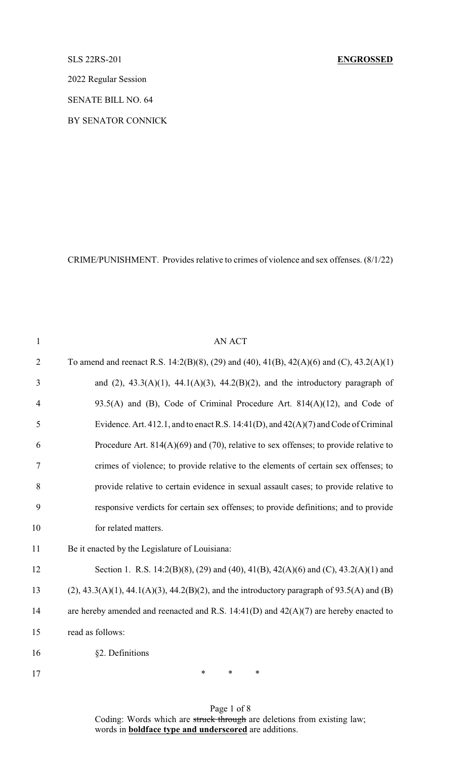## SLS 22RS-201 **ENGROSSED**

2022 Regular Session

SENATE BILL NO. 64

BY SENATOR CONNICK

CRIME/PUNISHMENT. Provides relative to crimes of violence and sex offenses. (8/1/22)

| $\mathbf{1}$   | <b>AN ACT</b>                                                                                 |
|----------------|-----------------------------------------------------------------------------------------------|
| $\overline{2}$ | To amend and reenact R.S. 14:2(B)(8), (29) and (40), 41(B), 42(A)(6) and (C), 43.2(A)(1)      |
| 3              | and $(2)$ , 43.3(A)(1), 44.1(A)(3), 44.2(B)(2), and the introductory paragraph of             |
| $\overline{4}$ | 93.5(A) and (B), Code of Criminal Procedure Art. $814(A)(12)$ , and Code of                   |
| 5              | Evidence. Art. 412.1, and to enact R.S. 14:41(D), and $42(A)(7)$ and Code of Criminal         |
| 6              | Procedure Art. $814(A)(69)$ and (70), relative to sex offenses; to provide relative to        |
| $\tau$         | crimes of violence; to provide relative to the elements of certain sex offenses; to           |
| 8              | provide relative to certain evidence in sexual assault cases; to provide relative to          |
| 9              | responsive verdicts for certain sex offenses; to provide definitions; and to provide          |
| 10             | for related matters.                                                                          |
| 11             | Be it enacted by the Legislature of Louisiana:                                                |
| 12             | Section 1. R.S. 14:2(B)(8), (29) and (40), 41(B), 42(A)(6) and (C), 43.2(A)(1) and            |
| 13             | $(2)$ , 43.3(A)(1), 44.1(A)(3), 44.2(B)(2), and the introductory paragraph of 93.5(A) and (B) |
| 14             | are hereby amended and reenacted and R.S. $14:41(D)$ and $42(A)(7)$ are hereby enacted to     |
| 15             | read as follows:                                                                              |
| 16             | §2. Definitions                                                                               |
|                |                                                                                               |

17 \* \* \* \*

Page 1 of 8 Coding: Words which are struck through are deletions from existing law; words in **boldface type and underscored** are additions.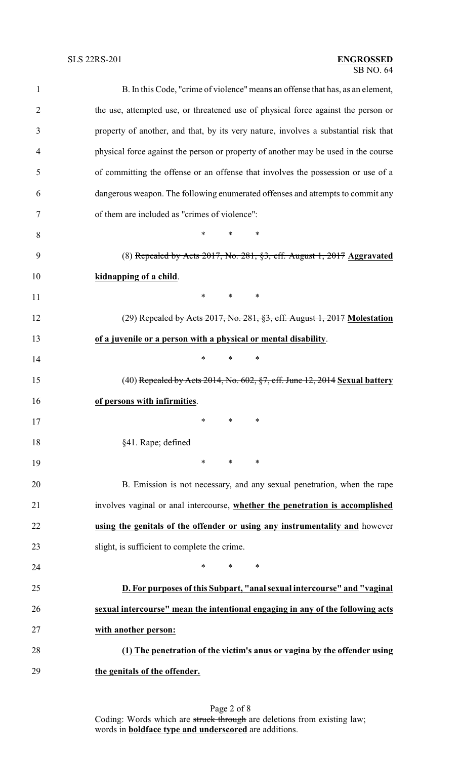## SB NO. 64 SLS 22RS-201 **ENGROSSED**

| $\mathbf{1}$   | B. In this Code, "crime of violence" means an offense that has, as an element,      |  |  |
|----------------|-------------------------------------------------------------------------------------|--|--|
| $\overline{2}$ | the use, attempted use, or threatened use of physical force against the person or   |  |  |
| 3              | property of another, and that, by its very nature, involves a substantial risk that |  |  |
| $\overline{4}$ | physical force against the person or property of another may be used in the course  |  |  |
| 5              | of committing the offense or an offense that involves the possession or use of a    |  |  |
| 6              | dangerous weapon. The following enumerated offenses and attempts to commit any      |  |  |
| 7              | of them are included as "crimes of violence":                                       |  |  |
| 8              | *<br>$\ast$<br>∗                                                                    |  |  |
| 9              | (8) Repealed by Acts $2017$ , No. $281$ , $\S3$ , eff. August 1, $2017$ Aggravated  |  |  |
| 10             | kidnapping of a child.                                                              |  |  |
| 11             | $\ast$<br>$*$<br>∗                                                                  |  |  |
| 12             | $(29)$ Repealed by Acts 2017, No. 281, §3, eff. August 1, 2017 Molestation          |  |  |
| 13             | of a juvenile or a person with a physical or mental disability.                     |  |  |
| 14             | *<br>$\ast$<br>∗                                                                    |  |  |
| 15             | $(40)$ Repealed by Acts 2014, No. 602, $\S7$ , eff. June 12, 2014 Sexual battery    |  |  |
| 16             | of persons with infirmities.                                                        |  |  |
| 17             | ∗<br>$\ast$ and $\ast$<br>∗                                                         |  |  |
| 18             | §41. Rape; defined                                                                  |  |  |
| 19             | $\ast$<br>$\ast$<br>$\ast$                                                          |  |  |
| 20             | B. Emission is not necessary, and any sexual penetration, when the rape             |  |  |
| 21             | involves vaginal or anal intercourse, whether the penetration is accomplished       |  |  |
| 22             | using the genitals of the offender or using any instrumentality and however         |  |  |
| 23             | slight, is sufficient to complete the crime.                                        |  |  |
| 24             | $\ast$<br>$\ast$<br>∗                                                               |  |  |
| 25             | D. For purposes of this Subpart, "anal sexual intercourse" and "vaginal             |  |  |
| 26             | sexual intercourse" mean the intentional engaging in any of the following acts      |  |  |
| 27             | with another person:                                                                |  |  |
| 28             | (1) The penetration of the victim's anus or vagina by the offender using            |  |  |
| 29             | the genitals of the offender.                                                       |  |  |
|                |                                                                                     |  |  |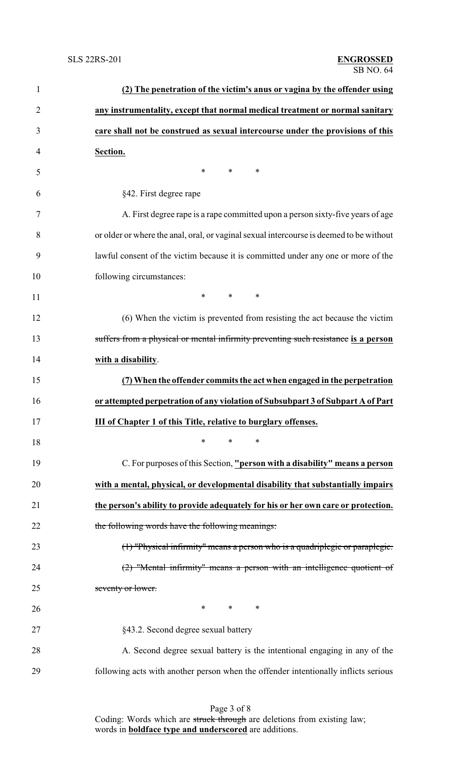| $\mathbf{1}$   | (2) The penetration of the victim's anus or vagina by the offender using                |
|----------------|-----------------------------------------------------------------------------------------|
| $\overline{2}$ | any instrumentality, except that normal medical treatment or normal sanitary            |
| 3              | care shall not be construed as sexual intercourse under the provisions of this          |
| $\overline{4}$ | Section.                                                                                |
| 5              | *<br>$\ast$<br>$\ast$                                                                   |
| 6              | §42. First degree rape                                                                  |
| 7              | A. First degree rape is a rape committed upon a person sixty-five years of age          |
| 8              | or older or where the anal, oral, or vaginal sexual intercourse is deemed to be without |
| 9              | lawful consent of the victim because it is committed under any one or more of the       |
| 10             | following circumstances:                                                                |
| 11             | $\ast$<br>$*$ and $*$<br>∗                                                              |
| 12             | (6) When the victim is prevented from resisting the act because the victim              |
| 13             | suffers from a physical or mental infirmity preventing such resistance is a person      |
| 14             | with a disability.                                                                      |
| 15             | (7) When the offender commits the act when engaged in the perpetration                  |
| 16             | or attempted perpetration of any violation of Subsubpart 3 of Subpart A of Part         |
| 17             | <b>III of Chapter 1 of this Title, relative to burglary offenses.</b>                   |
| 18             | $\ast$<br>*<br>$\ast$                                                                   |
| 19             | C. For purposes of this Section, "person with a disability" means a person              |
| 20             | with a mental, physical, or developmental disability that substantially impairs         |
| 21             | the person's ability to provide adequately for his or her own care or protection.       |
| 22             | the following words have the following meanings:                                        |
| 23             | $(1)$ "Physical infirmity" means a person who is a quadriplegic or paraplegic.          |
| 24             | (2) "Mental infirmity" means a person with an intelligence quotient of                  |
| 25             | seventy or lower.                                                                       |
| 26             | $\ast$<br>$\ast$<br>∗                                                                   |
| 27             | §43.2. Second degree sexual battery                                                     |
| 28             | A. Second degree sexual battery is the intentional engaging in any of the               |
| 29             | following acts with another person when the offender intentionally inflicts serious     |
|                |                                                                                         |

Page 3 of 8 Coding: Words which are struck through are deletions from existing law; words in **boldface type and underscored** are additions.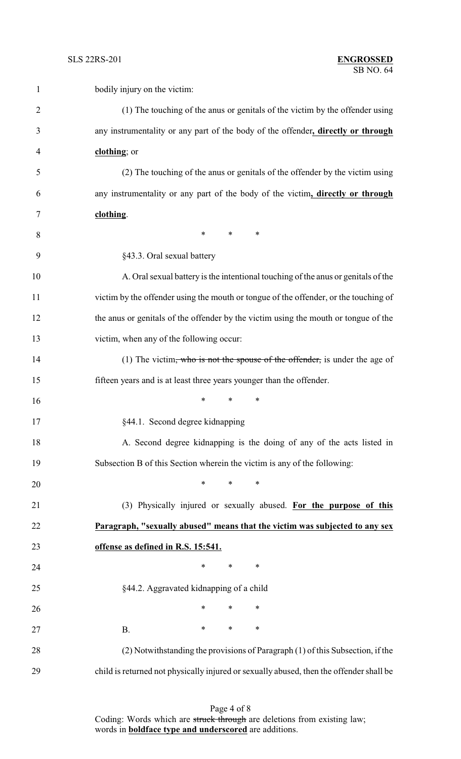| 1              | bodily injury on the victim:                                                            |
|----------------|-----------------------------------------------------------------------------------------|
| $\overline{2}$ | (1) The touching of the anus or genitals of the victim by the offender using            |
| 3              | any instrumentality or any part of the body of the offender, directly or through        |
| 4              | clothing; or                                                                            |
| 5              | (2) The touching of the anus or genitals of the offender by the victim using            |
| 6              | any instrumentality or any part of the body of the victim, directly or through          |
| 7              | clothing.                                                                               |
| 8              | $\ast$<br>$*$<br>∗                                                                      |
| 9              | §43.3. Oral sexual battery                                                              |
| 10             | A. Oral sexual battery is the intentional touching of the anus or genitals of the       |
| 11             | victim by the offender using the mouth or tongue of the offender, or the touching of    |
| 12             | the anus or genitals of the offender by the victim using the mouth or tongue of the     |
| 13             | victim, when any of the following occur:                                                |
| 14             | (1) The victim, who is not the spouse of the offender, is under the age of              |
| 15             | fifteen years and is at least three years younger than the offender.                    |
| 16             | *<br>∗<br>∗                                                                             |
| 17             | §44.1. Second degree kidnapping                                                         |
| 18             | A. Second degree kidnapping is the doing of any of the acts listed in                   |
| 19             | Subsection B of this Section wherein the victim is any of the following:                |
| 20             | *<br>$\ast$<br>∗                                                                        |
| 21             | (3) Physically injured or sexually abused. For the purpose of this                      |
| 22             | Paragraph, "sexually abused" means that the victim was subjected to any sex             |
| 23             | offense as defined in R.S. 15:541.                                                      |
| 24             | $\ast$<br>∗<br>$\ast$                                                                   |
| 25             | §44.2. Aggravated kidnapping of a child                                                 |
| 26             | $\ast$<br>$\ast$<br>∗                                                                   |
| 27             | $\ast$<br>∗<br>$\ast$<br><b>B.</b>                                                      |
| 28             | (2) Notwithstanding the provisions of Paragraph (1) of this Subsection, if the          |
| 29             | child is returned not physically injured or sexually abused, then the offender shall be |

Page 4 of 8 Coding: Words which are struck through are deletions from existing law; words in **boldface type and underscored** are additions.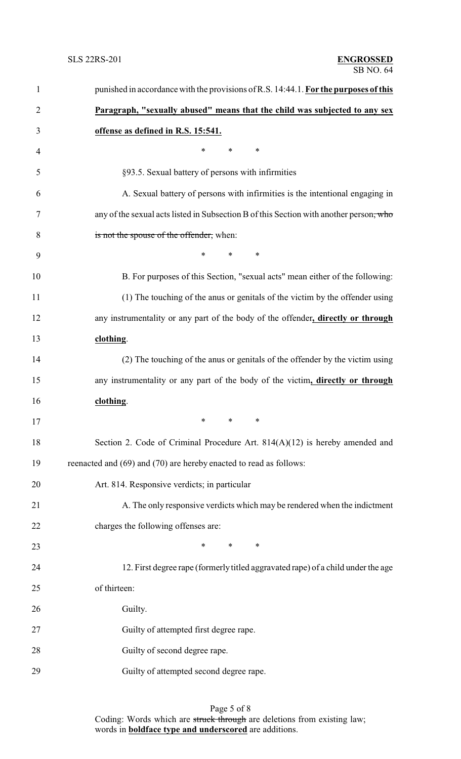| $\mathbf{1}$   | punished in accordance with the provisions of R.S. 14:44.1. For the purposes of this   |
|----------------|----------------------------------------------------------------------------------------|
| $\overline{2}$ | Paragraph, "sexually abused" means that the child was subjected to any sex             |
| 3              | offense as defined in R.S. 15:541.                                                     |
| 4              | $\ast$<br>$\ast$<br>∗                                                                  |
| 5              | §93.5. Sexual battery of persons with infirmities                                      |
| 6              | A. Sexual battery of persons with infirmities is the intentional engaging in           |
| 7              | any of the sexual acts listed in Subsection B of this Section with another person, who |
| 8              | is not the spouse of the offender, when:                                               |
| 9              | $\ast$<br>$\ast$<br>$\ast$                                                             |
| 10             | B. For purposes of this Section, "sexual acts" mean either of the following:           |
| 11             | (1) The touching of the anus or genitals of the victim by the offender using           |
| 12             | any instrumentality or any part of the body of the offender, directly or through       |
| 13             | clothing.                                                                              |
| 14             | (2) The touching of the anus or genitals of the offender by the victim using           |
| 15             | any instrumentality or any part of the body of the victim, directly or through         |
| 16             | clothing.                                                                              |
| 17             | $*$ and $*$<br>$*$ and $*$<br>∗                                                        |
| 18             | Section 2. Code of Criminal Procedure Art. 814(A)(12) is hereby amended and            |
| 19             | reenacted and (69) and (70) are hereby enacted to read as follows:                     |
| 20             | Art. 814. Responsive verdicts; in particular                                           |
| 21             | A. The only responsive verdicts which may be rendered when the indictment              |
| 22             | charges the following offenses are:                                                    |
| 23             | $\ast$<br>∗<br>∗                                                                       |
| 24             | 12. First degree rape (formerly titled aggravated rape) of a child under the age       |
| 25             | of thirteen:                                                                           |
| 26             | Guilty.                                                                                |
| 27             | Guilty of attempted first degree rape.                                                 |
| 28             | Guilty of second degree rape.                                                          |
| 29             | Guilty of attempted second degree rape.                                                |
|                |                                                                                        |

## Page 5 of 8 Coding: Words which are struck through are deletions from existing law; words in **boldface type and underscored** are additions.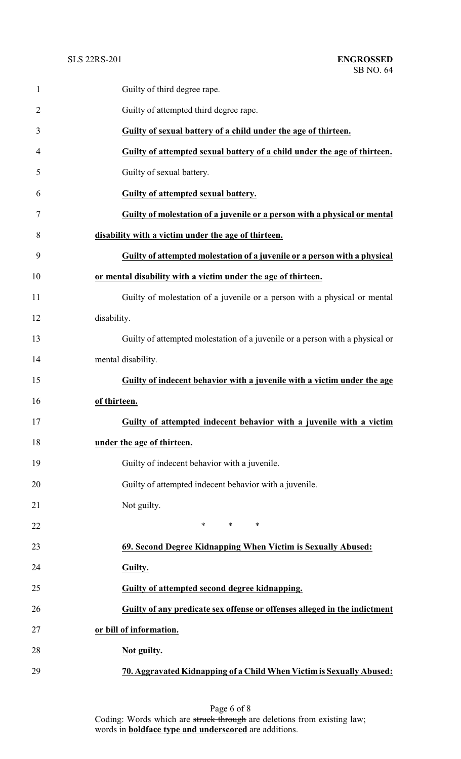| $\mathbf{1}$   | Guilty of third degree rape.                                                 |
|----------------|------------------------------------------------------------------------------|
| $\overline{2}$ | Guilty of attempted third degree rape.                                       |
| 3              | Guilty of sexual battery of a child under the age of thirteen.               |
| 4              | Guilty of attempted sexual battery of a child under the age of thirteen.     |
| 5              | Guilty of sexual battery.                                                    |
| 6              | Guilty of attempted sexual battery.                                          |
| 7              | Guilty of molestation of a juvenile or a person with a physical or mental    |
| 8              | disability with a victim under the age of thirteen.                          |
| 9              | Guilty of attempted molestation of a juvenile or a person with a physical    |
| 10             | or mental disability with a victim under the age of thirteen.                |
| 11             | Guilty of molestation of a juvenile or a person with a physical or mental    |
| 12             | disability.                                                                  |
| 13             | Guilty of attempted molestation of a juvenile or a person with a physical or |
| 14             | mental disability.                                                           |
| 15             | Guilty of indecent behavior with a juvenile with a victim under the age      |
| 16             | of thirteen.                                                                 |
| 17             | Guilty of attempted indecent behavior with a juvenile with a victim          |
| 18             | under the age of thirteen.                                                   |
| 19             | Guilty of indecent behavior with a juvenile.                                 |
| 20             | Guilty of attempted indecent behavior with a juvenile.                       |
| 21             | Not guilty.                                                                  |
| 22             | $*$ $*$<br>$\ast$<br>∗                                                       |
| 23             | 69. Second Degree Kidnapping When Victim is Sexually Abused:                 |
| 24             | Guilty.                                                                      |
| 25             | Guilty of attempted second degree kidnapping.                                |
| 26             | Guilty of any predicate sex offense or offenses alleged in the indictment    |
| 27             | or bill of information.                                                      |
| 28             | Not guilty.                                                                  |
| 29             | 70. Aggravated Kidnapping of a Child When Victim is Sexually Abused:         |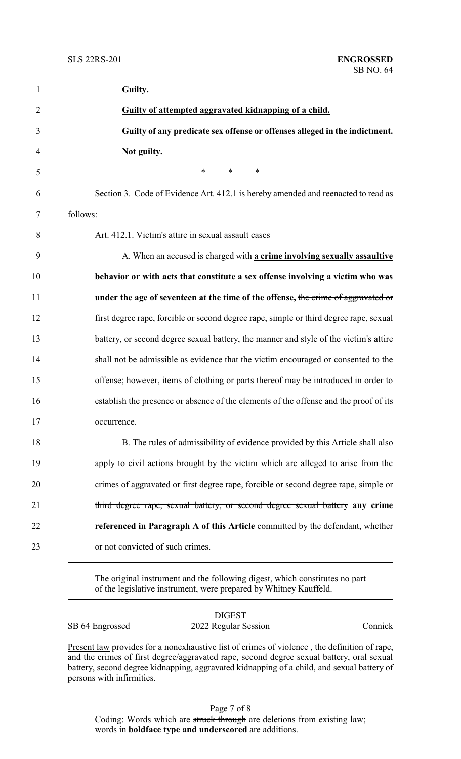| $\mathbf{1}$   | Guilty.                                                                                |
|----------------|----------------------------------------------------------------------------------------|
| $\overline{2}$ | Guilty of attempted aggravated kidnapping of a child.                                  |
| 3              | Guilty of any predicate sex offense or offenses alleged in the indictment.             |
| 4              | Not guilty.                                                                            |
| 5              | $\ast$<br>$*$ $*$<br>∗                                                                 |
| 6              | Section 3. Code of Evidence Art. 412.1 is hereby amended and reenacted to read as      |
| 7              | follows:                                                                               |
| 8              | Art. 412.1. Victim's attire in sexual assault cases                                    |
| 9              | A. When an accused is charged with a crime involving sexually assaultive               |
| 10             | behavior or with acts that constitute a sex offense involving a victim who was         |
| 11             | under the age of seventeen at the time of the offense, the crime of aggravated or      |
| 12             | first degree rape, forcible or second degree rape, simple or third degree rape, sexual |
| 13             | battery, or second degree sexual battery, the manner and style of the victim's attire  |
| 14             | shall not be admissible as evidence that the victim encouraged or consented to the     |
| 15             | offense; however, items of clothing or parts thereof may be introduced in order to     |
| 16             | establish the presence or absence of the elements of the offense and the proof of its  |
| 17             | occurrence.                                                                            |
| 18             | B. The rules of admissibility of evidence provided by this Article shall also          |
| 19             | apply to civil actions brought by the victim which are alleged to arise from the       |
| 20             | crimes of aggravated or first degree rape, forcible or second degree rape, simple or   |
| 21             | third degree rape, sexual battery, or second degree sexual battery any crime           |
| 22             | referenced in Paragraph A of this Article committed by the defendant, whether          |
| 23             | or not convicted of such crimes.                                                       |
|                |                                                                                        |

The original instrument and the following digest, which constitutes no part of the legislative instrument, were prepared by Whitney Kauffeld.

|                 | <b>DIGEST</b>        |         |
|-----------------|----------------------|---------|
| SB 64 Engrossed | 2022 Regular Session | Connick |

Present law provides for a nonexhaustive list of crimes of violence, the definition of rape, and the crimes of first degree/aggravated rape, second degree sexual battery, oral sexual battery, second degree kidnapping, aggravated kidnapping of a child, and sexual battery of persons with infirmities.

Page 7 of 8 Coding: Words which are struck through are deletions from existing law; words in **boldface type and underscored** are additions.